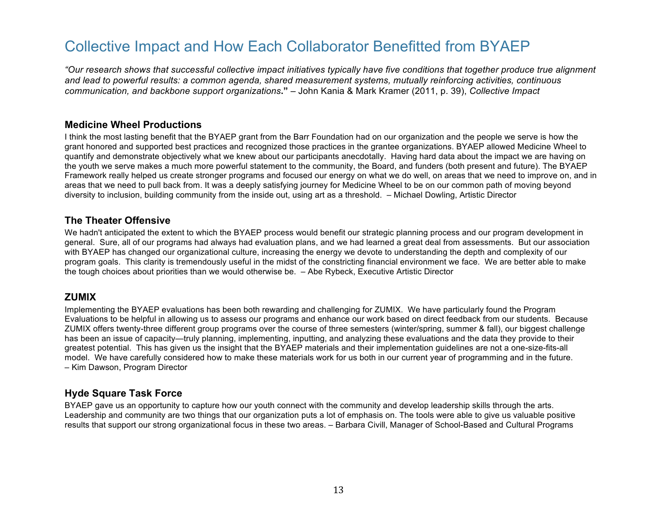# Collective Impact and How Each Collaborator Benefitted from BYAEP

*"Our research shows that successful collective impact initiatives typically have five conditions that together produce true alignment and lead to powerful results: a common agenda, shared measurement systems, mutually reinforcing activities, continuous communication, and backbone support organizations***."** – John Kania & Mark Kramer (2011, p. 39), *Collective Impact*

#### **Medicine Wheel Productions**

I think the most lasting benefit that the BYAEP grant from the Barr Foundation had on our organization and the people we serve is how the grant honored and supported best practices and recognized those practices in the grantee organizations. BYAEP allowed Medicine Wheel to quantify and demonstrate objectively what we knew about our participants anecdotally. Having hard data about the impact we are having on the youth we serve makes a much more powerful statement to the community, the Board, and funders (both present and future). The BYAEP Framework really helped us create stronger programs and focused our energy on what we do well, on areas that we need to improve on, and in areas that we need to pull back from. It was a deeply satisfying journey for Medicine Wheel to be on our common path of moving beyond diversity to inclusion, building community from the inside out, using art as a threshold. – Michael Dowling, Artistic Director

#### **The Theater Offensive**

We hadn't anticipated the extent to which the BYAEP process would benefit our strategic planning process and our program development in general. Sure, all of our programs had always had evaluation plans, and we had learned a great deal from assessments. But our association with BYAEP has changed our organizational culture, increasing the energy we devote to understanding the depth and complexity of our program goals. This clarity is tremendously useful in the midst of the constricting financial environment we face. We are better able to make the tough choices about priorities than we would otherwise be. – Abe Rybeck, Executive Artistic Director

## **ZUMIX**

Implementing the BYAEP evaluations has been both rewarding and challenging for ZUMIX. We have particularly found the Program Evaluations to be helpful in allowing us to assess our programs and enhance our work based on direct feedback from our students. Because ZUMIX offers twenty-three different group programs over the course of three semesters (winter/spring, summer & fall), our biggest challenge has been an issue of capacity—truly planning, implementing, inputting, and analyzing these evaluations and the data they provide to their greatest potential. This has given us the insight that the BYAEP materials and their implementation guidelines are not a one-size-fits-all model. We have carefully considered how to make these materials work for us both in our current year of programming and in the future. – Kim Dawson, Program Director

## **Hyde Square Task Force**

BYAEP gave us an opportunity to capture how our youth connect with the community and develop leadership skills through the arts. Leadership and community are two things that our organization puts a lot of emphasis on. The tools were able to give us valuable positive results that support our strong organizational focus in these two areas. – Barbara Civill, Manager of School-Based and Cultural Programs